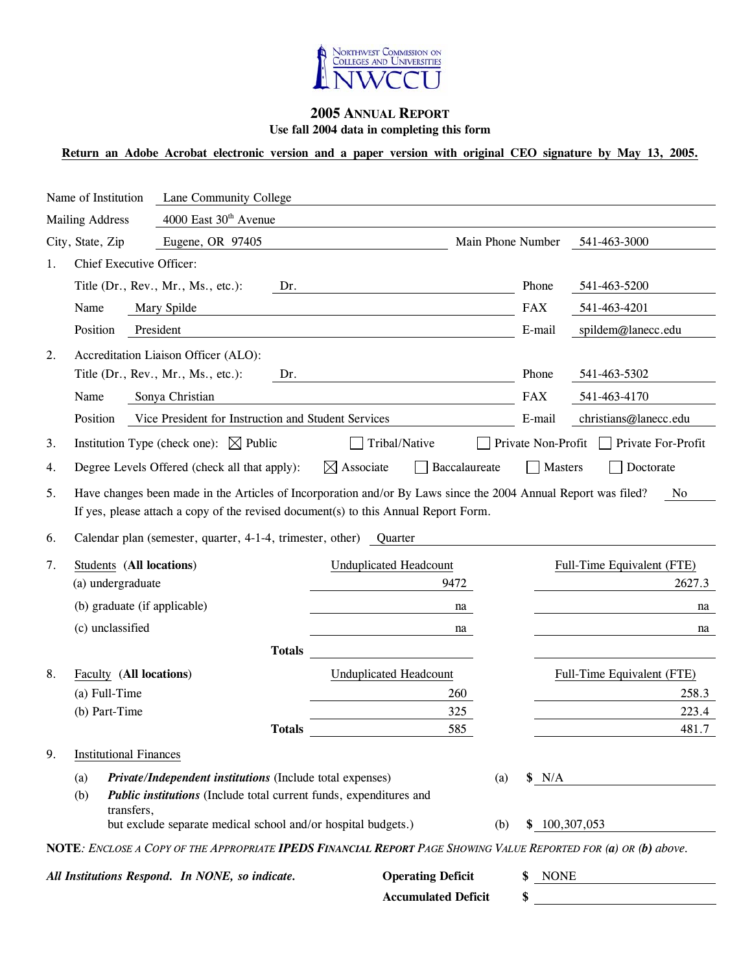

## **2005 ANNUAL REPORT Use fall 2004 data in completing this form**

# **Return an Adobe Acrobat electronic version and a paper version with original CEO signature by May 13, 2005.**

| Name of Institution |                                 |                                               | Lane Community College                                                                                                                                                                                |                                                                      |                                                                                                                        |                          |                                      |
|---------------------|---------------------------------|-----------------------------------------------|-------------------------------------------------------------------------------------------------------------------------------------------------------------------------------------------------------|----------------------------------------------------------------------|------------------------------------------------------------------------------------------------------------------------|--------------------------|--------------------------------------|
|                     | <b>Mailing Address</b>          |                                               | 4000 East 30 <sup>th</sup> Avenue                                                                                                                                                                     |                                                                      |                                                                                                                        |                          |                                      |
|                     | City, State, Zip                |                                               | Eugene, OR 97405                                                                                                                                                                                      |                                                                      |                                                                                                                        | Main Phone Number        | 541-463-3000                         |
| 1.                  | <b>Chief Executive Officer:</b> |                                               |                                                                                                                                                                                                       |                                                                      |                                                                                                                        |                          |                                      |
|                     |                                 |                                               | Title (Dr., Rev., Mr., Ms., etc.):<br>Dr.                                                                                                                                                             |                                                                      | <u> 1980 - Johann Barn, mars ann an t-Aonaich an t-Aonaich an t-Aonaich an t-Aonaich an t-Aonaich ann an t-Aonaich</u> | Phone                    | 541-463-5200                         |
|                     | Name                            |                                               | Mary Spilde                                                                                                                                                                                           |                                                                      |                                                                                                                        | <b>FAX</b>               | 541-463-4201                         |
|                     | Position                        |                                               | President                                                                                                                                                                                             | <u> 1989 - Johann Barbara, martin da kasar Amerikaansk filosof (</u> |                                                                                                                        | E-mail                   | spildem@lanecc.edu                   |
| 2.                  |                                 |                                               | Accreditation Liaison Officer (ALO):                                                                                                                                                                  |                                                                      |                                                                                                                        |                          |                                      |
|                     |                                 |                                               | Title (Dr., Rev., Mr., Ms., etc.):<br>Dr.                                                                                                                                                             |                                                                      |                                                                                                                        | Phone                    | 541-463-5302                         |
|                     | Name                            |                                               | Sonya Christian                                                                                                                                                                                       |                                                                      |                                                                                                                        | <b>FAX</b>               | 541-463-4170                         |
|                     | Position                        |                                               | Vice President for Instruction and Student Services                                                                                                                                                   |                                                                      |                                                                                                                        | E-mail                   | christians@lanecc.edu                |
| 3.                  |                                 |                                               | Institution Type (check one): $\boxtimes$ Public                                                                                                                                                      | Tribal/Native                                                        |                                                                                                                        | Private Non-Profit       | $\Box$ Private For-Profit            |
| 4.                  |                                 |                                               | Degree Levels Offered (check all that apply):                                                                                                                                                         | $\boxtimes$ Associate                                                | Baccalaureate                                                                                                          | <b>Masters</b>           | Doctorate                            |
| 5.                  |                                 |                                               | Have changes been made in the Articles of Incorporation and/or By Laws since the 2004 Annual Report was filed?<br>If yes, please attach a copy of the revised document(s) to this Annual Report Form. |                                                                      |                                                                                                                        |                          | No                                   |
| 6.                  |                                 |                                               | Calendar plan (semester, quarter, 4-1-4, trimester, other) Quarter                                                                                                                                    |                                                                      |                                                                                                                        |                          |                                      |
| 7.                  |                                 | Students (All locations)<br>(a) undergraduate |                                                                                                                                                                                                       | <b>Unduplicated Headcount</b>                                        | 9472                                                                                                                   |                          | Full-Time Equivalent (FTE)<br>2627.3 |
|                     |                                 | (b) graduate (if applicable)                  |                                                                                                                                                                                                       |                                                                      | na                                                                                                                     |                          | na                                   |
|                     |                                 | (c) unclassified                              |                                                                                                                                                                                                       |                                                                      | na                                                                                                                     |                          | na                                   |
|                     |                                 |                                               | <b>Totals</b>                                                                                                                                                                                         |                                                                      |                                                                                                                        |                          |                                      |
| 8.                  |                                 | Faculty (All locations)                       |                                                                                                                                                                                                       | <b>Unduplicated Headcount</b>                                        |                                                                                                                        |                          | Full-Time Equivalent (FTE)           |
|                     |                                 | (a) Full-Time                                 |                                                                                                                                                                                                       |                                                                      | 260                                                                                                                    |                          | 258.3                                |
|                     |                                 | (b) Part-Time                                 |                                                                                                                                                                                                       |                                                                      | 325                                                                                                                    |                          | 223.4                                |
|                     |                                 |                                               | <b>Totals</b>                                                                                                                                                                                         |                                                                      | 585                                                                                                                    |                          | 481.7                                |
| 9.                  |                                 | <b>Institutional Finances</b>                 |                                                                                                                                                                                                       |                                                                      |                                                                                                                        |                          |                                      |
|                     | (a)<br>(b)                      | transfers,                                    | Private/Independent institutions (Include total expenses)<br>Public institutions (Include total current funds, expenditures and                                                                       |                                                                      |                                                                                                                        | N/A<br>$\left( a\right)$ |                                      |
|                     |                                 |                                               | but exclude separate medical school and/or hospital budgets.)                                                                                                                                         |                                                                      |                                                                                                                        | \$100,307,053<br>(b)     |                                      |
|                     |                                 |                                               | NOTE: ENCLOSE A COPY OF THE APPROPRIATE <b>IPEDS FINANCIAL REPORT</b> PAGE SHOWING VALUE REPORTED FOR (a) OR (b) above.<br>All Institutions Respond. In NONE, so indicate.                            |                                                                      | <b>Operating Deficit</b>                                                                                               | \$ NONE                  |                                      |

**Accumulated Deficit \$**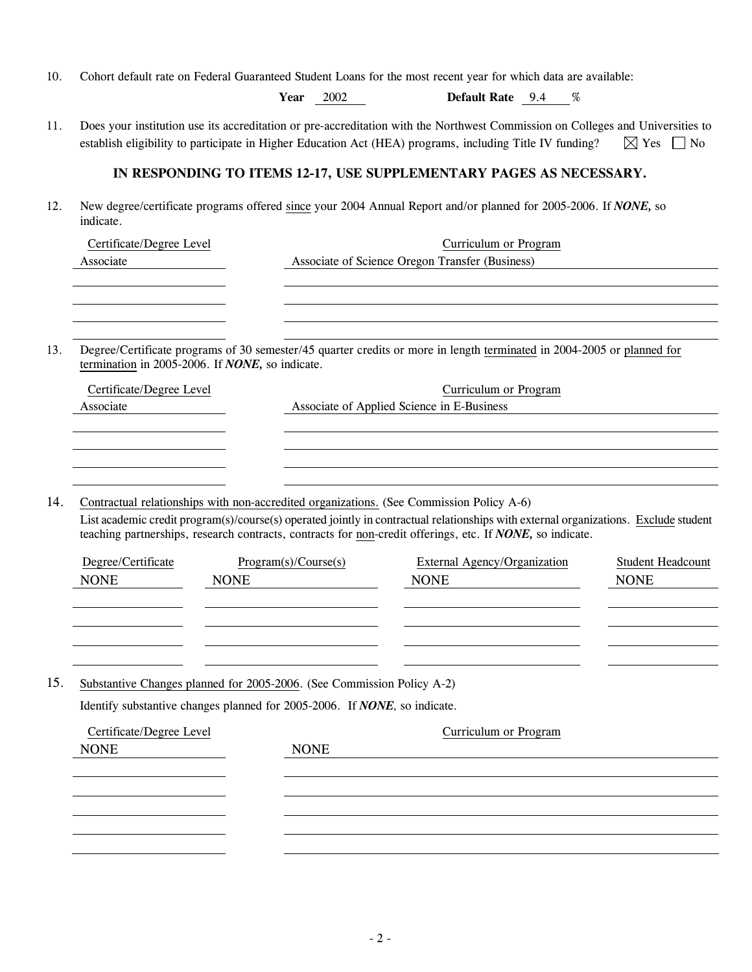| 10. | Cohort default rate on Federal Guaranteed Student Loans for the most recent year for which data are available:                                                                                                                                                                                                                                |                                                                                                                 |                                                                          |                                                                                                                                                                                                                                            |                                   |  |  |  |  |
|-----|-----------------------------------------------------------------------------------------------------------------------------------------------------------------------------------------------------------------------------------------------------------------------------------------------------------------------------------------------|-----------------------------------------------------------------------------------------------------------------|--------------------------------------------------------------------------|--------------------------------------------------------------------------------------------------------------------------------------------------------------------------------------------------------------------------------------------|-----------------------------------|--|--|--|--|
|     |                                                                                                                                                                                                                                                                                                                                               | Year                                                                                                            | 2002                                                                     | Default Rate 9.4 %                                                                                                                                                                                                                         |                                   |  |  |  |  |
| 11. |                                                                                                                                                                                                                                                                                                                                               |                                                                                                                 |                                                                          | Does your institution use its accreditation or pre-accreditation with the Northwest Commission on Colleges and Universities to<br>establish eligibility to participate in Higher Education Act (HEA) programs, including Title IV funding? | $\boxtimes$ Yes<br>N <sub>0</sub> |  |  |  |  |
|     |                                                                                                                                                                                                                                                                                                                                               |                                                                                                                 |                                                                          | IN RESPONDING TO ITEMS 12-17, USE SUPPLEMENTARY PAGES AS NECESSARY.                                                                                                                                                                        |                                   |  |  |  |  |
| 12. | indicate.                                                                                                                                                                                                                                                                                                                                     | New degree/certificate programs offered since your 2004 Annual Report and/or planned for 2005-2006. If NONE, so |                                                                          |                                                                                                                                                                                                                                            |                                   |  |  |  |  |
|     | Certificate/Degree Level<br>Associate                                                                                                                                                                                                                                                                                                         |                                                                                                                 | Curriculum or Program<br>Associate of Science Oregon Transfer (Business) |                                                                                                                                                                                                                                            |                                   |  |  |  |  |
|     |                                                                                                                                                                                                                                                                                                                                               |                                                                                                                 |                                                                          |                                                                                                                                                                                                                                            |                                   |  |  |  |  |
|     |                                                                                                                                                                                                                                                                                                                                               |                                                                                                                 |                                                                          |                                                                                                                                                                                                                                            |                                   |  |  |  |  |
| 13. | termination in 2005-2006. If NONE, so indicate.                                                                                                                                                                                                                                                                                               |                                                                                                                 |                                                                          | Degree/Certificate programs of 30 semester/45 quarter credits or more in length terminated in 2004-2005 or planned for                                                                                                                     |                                   |  |  |  |  |
|     | Certificate/Degree Level                                                                                                                                                                                                                                                                                                                      |                                                                                                                 |                                                                          | Curriculum or Program                                                                                                                                                                                                                      |                                   |  |  |  |  |
|     | Associate                                                                                                                                                                                                                                                                                                                                     |                                                                                                                 | Associate of Applied Science in E-Business                               |                                                                                                                                                                                                                                            |                                   |  |  |  |  |
|     |                                                                                                                                                                                                                                                                                                                                               |                                                                                                                 |                                                                          |                                                                                                                                                                                                                                            |                                   |  |  |  |  |
|     |                                                                                                                                                                                                                                                                                                                                               |                                                                                                                 |                                                                          |                                                                                                                                                                                                                                            |                                   |  |  |  |  |
| 14. | Contractual relationships with non-accredited organizations. (See Commission Policy A-6)<br>List academic credit program(s)/course(s) operated jointly in contractual relationships with external organizations. Exclude student<br>teaching partnerships, research contracts, contracts for non-credit offerings, etc. If NONE, so indicate. |                                                                                                                 |                                                                          |                                                                                                                                                                                                                                            |                                   |  |  |  |  |
|     | Degree/Certificate                                                                                                                                                                                                                                                                                                                            | Program(s)/Course(s)                                                                                            |                                                                          | External Agency/Organization                                                                                                                                                                                                               | <b>Student Headcount</b>          |  |  |  |  |
|     | <b>NONE</b>                                                                                                                                                                                                                                                                                                                                   | <b>NONE</b>                                                                                                     |                                                                          | <b>NONE</b>                                                                                                                                                                                                                                | <b>NONE</b>                       |  |  |  |  |
|     |                                                                                                                                                                                                                                                                                                                                               |                                                                                                                 |                                                                          |                                                                                                                                                                                                                                            |                                   |  |  |  |  |
|     |                                                                                                                                                                                                                                                                                                                                               |                                                                                                                 |                                                                          |                                                                                                                                                                                                                                            |                                   |  |  |  |  |
|     |                                                                                                                                                                                                                                                                                                                                               |                                                                                                                 |                                                                          |                                                                                                                                                                                                                                            |                                   |  |  |  |  |
| 15. | Substantive Changes planned for 2005-2006. (See Commission Policy A-2)                                                                                                                                                                                                                                                                        |                                                                                                                 |                                                                          |                                                                                                                                                                                                                                            |                                   |  |  |  |  |
|     | Identify substantive changes planned for 2005-2006. If NONE, so indicate.                                                                                                                                                                                                                                                                     |                                                                                                                 |                                                                          |                                                                                                                                                                                                                                            |                                   |  |  |  |  |
|     | Certificate/Degree Level                                                                                                                                                                                                                                                                                                                      |                                                                                                                 |                                                                          | Curriculum or Program                                                                                                                                                                                                                      |                                   |  |  |  |  |
|     | <b>NONE</b>                                                                                                                                                                                                                                                                                                                                   |                                                                                                                 | <b>NONE</b>                                                              |                                                                                                                                                                                                                                            |                                   |  |  |  |  |
|     |                                                                                                                                                                                                                                                                                                                                               |                                                                                                                 |                                                                          |                                                                                                                                                                                                                                            |                                   |  |  |  |  |
|     |                                                                                                                                                                                                                                                                                                                                               |                                                                                                                 |                                                                          |                                                                                                                                                                                                                                            |                                   |  |  |  |  |
|     |                                                                                                                                                                                                                                                                                                                                               |                                                                                                                 |                                                                          |                                                                                                                                                                                                                                            |                                   |  |  |  |  |
|     |                                                                                                                                                                                                                                                                                                                                               |                                                                                                                 |                                                                          |                                                                                                                                                                                                                                            |                                   |  |  |  |  |
|     |                                                                                                                                                                                                                                                                                                                                               |                                                                                                                 |                                                                          |                                                                                                                                                                                                                                            |                                   |  |  |  |  |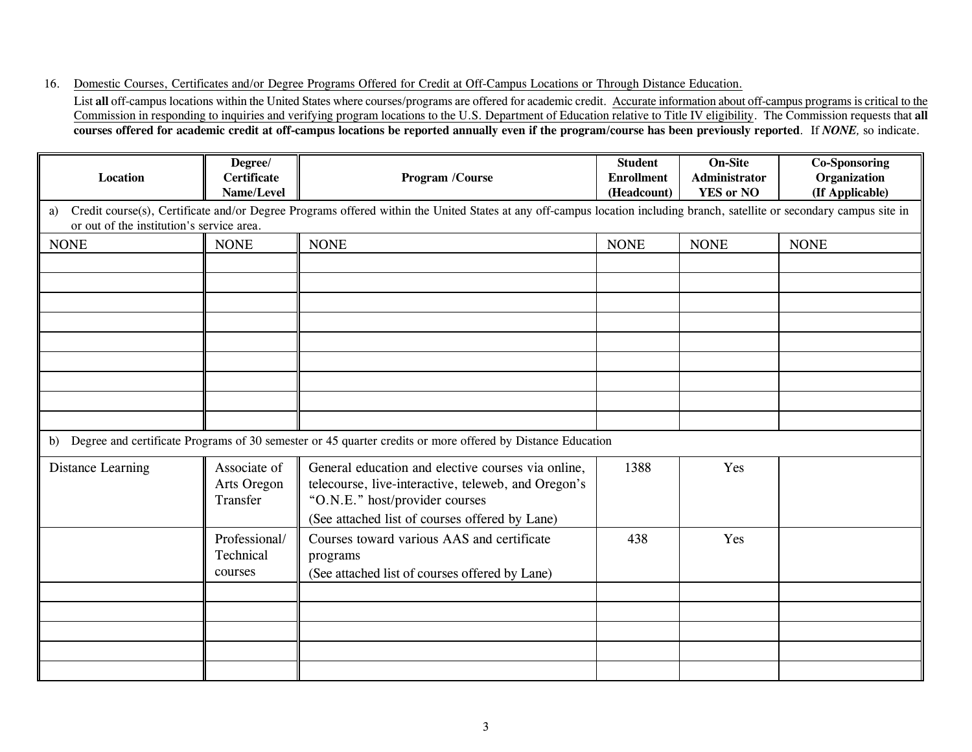16. Domestic Courses, Certificates and/or Degree Programs Offered for Credit at Off-Campus Locations or Through Distance Education.

List **all** off-campus locations within the United States where courses/programs are offered for academic credit. Accurate information about off-campus programs is critical to the Commission in responding to inquiries and verifying program locations to the U.S. Department of Education relative to Title IV eligibility. The Commission requests that **all courses offered for academic credit at off-campus locations be reported annually even if the program/course has been previously reported**. If *NONE,* so indicate.

| Location                                        | Degree/<br><b>Certificate</b><br>Name/Level | Program /Course                                                                                                                                                                               | <b>Student</b><br><b>Enrollment</b><br>(Headcount) | <b>On-Site</b><br>Administrator<br><b>YES or NO</b> | <b>Co-Sponsoring</b><br>Organization<br>(If Applicable) |
|-------------------------------------------------|---------------------------------------------|-----------------------------------------------------------------------------------------------------------------------------------------------------------------------------------------------|----------------------------------------------------|-----------------------------------------------------|---------------------------------------------------------|
| a)<br>or out of the institution's service area. |                                             | Credit course(s), Certificate and/or Degree Programs offered within the United States at any off-campus location including branch, satellite or secondary campus site in                      |                                                    |                                                     |                                                         |
| <b>NONE</b>                                     | <b>NONE</b>                                 | <b>NONE</b>                                                                                                                                                                                   | <b>NONE</b>                                        | <b>NONE</b>                                         | <b>NONE</b>                                             |
|                                                 |                                             |                                                                                                                                                                                               |                                                    |                                                     |                                                         |
|                                                 |                                             |                                                                                                                                                                                               |                                                    |                                                     |                                                         |
|                                                 |                                             |                                                                                                                                                                                               |                                                    |                                                     |                                                         |
|                                                 |                                             |                                                                                                                                                                                               |                                                    |                                                     |                                                         |
|                                                 |                                             |                                                                                                                                                                                               |                                                    |                                                     |                                                         |
|                                                 |                                             |                                                                                                                                                                                               |                                                    |                                                     |                                                         |
|                                                 |                                             |                                                                                                                                                                                               |                                                    |                                                     |                                                         |
|                                                 |                                             | b) Degree and certificate Programs of 30 semester or 45 quarter credits or more offered by Distance Education                                                                                 |                                                    |                                                     |                                                         |
| <b>Distance Learning</b>                        | Associate of<br>Arts Oregon<br>Transfer     | General education and elective courses via online,<br>telecourse, live-interactive, teleweb, and Oregon's<br>"O.N.E." host/provider courses<br>(See attached list of courses offered by Lane) | 1388                                               | Yes                                                 |                                                         |
|                                                 | Professional/<br>Technical<br>courses       | Courses toward various AAS and certificate<br>programs<br>(See attached list of courses offered by Lane)                                                                                      | 438                                                | Yes                                                 |                                                         |
|                                                 |                                             |                                                                                                                                                                                               |                                                    |                                                     |                                                         |
|                                                 |                                             |                                                                                                                                                                                               |                                                    |                                                     |                                                         |
|                                                 |                                             |                                                                                                                                                                                               |                                                    |                                                     |                                                         |
|                                                 |                                             |                                                                                                                                                                                               |                                                    |                                                     |                                                         |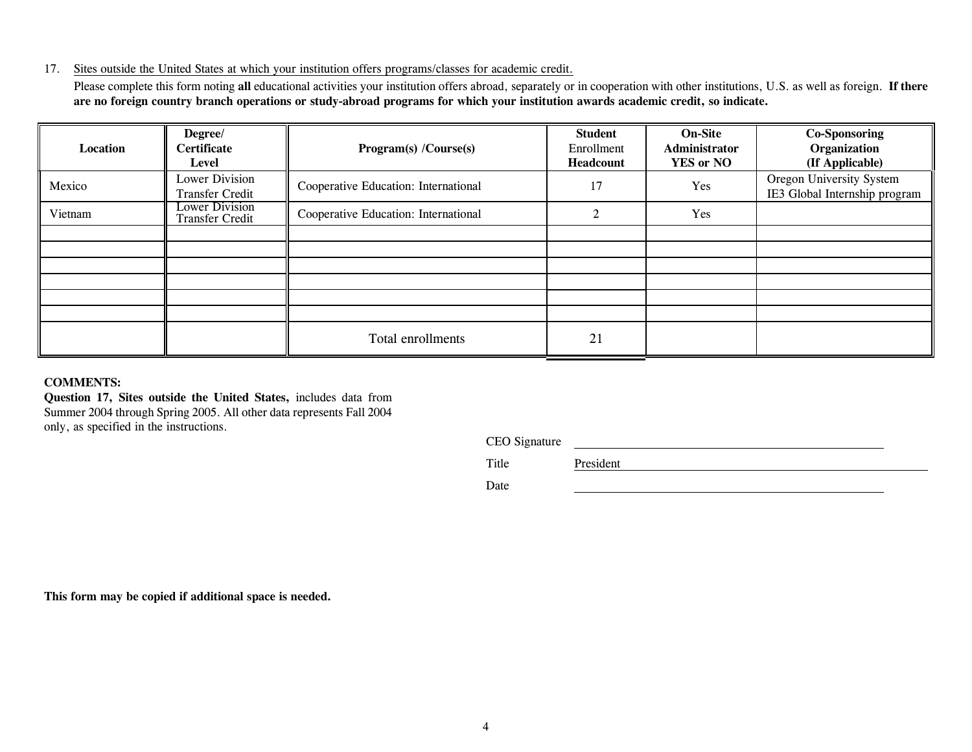#### 17. Sites outside the United States at which your institution offers programs/classes for academic credit.

Please complete this form noting **all** educational activities your institution offers abroad, separately or in cooperation with other institutions, U.S. as well as foreign. **If there are no foreign country branch operations or study-abroad programs for which your institution awards academic credit, so indicate.**

| Location | Degree/<br><b>Certificate</b><br>Level          | Program(s) /Course(s)                | <b>Student</b><br>Enrollment<br>Headcount | <b>On-Site</b><br>Administrator<br><b>YES or NO</b> | <b>Co-Sponsoring</b><br>Organization<br>(If Applicable)   |
|----------|-------------------------------------------------|--------------------------------------|-------------------------------------------|-----------------------------------------------------|-----------------------------------------------------------|
| Mexico   | <b>Lower Division</b><br><b>Transfer Credit</b> | Cooperative Education: International | 17                                        | Yes                                                 | Oregon University System<br>IE3 Global Internship program |
| Vietnam  | <b>Lower Division</b><br><b>Transfer Credit</b> | Cooperative Education: International | $\mathcal{D}_{\mathcal{L}}$               | Yes                                                 |                                                           |
|          |                                                 |                                      |                                           |                                                     |                                                           |
|          |                                                 |                                      |                                           |                                                     |                                                           |
|          |                                                 |                                      |                                           |                                                     |                                                           |
|          |                                                 |                                      |                                           |                                                     |                                                           |
|          |                                                 |                                      |                                           |                                                     |                                                           |
|          |                                                 |                                      |                                           |                                                     |                                                           |
|          |                                                 | Total enrollments                    | 21                                        |                                                     |                                                           |

#### **COMMENTS:**

**Question 17, Sites outside the United States,** includes data from Summer 2004 through Spring 2005. All other data represents Fall 2004 only, as specified in the instructions.

CEO Signature

Title President President

Date

**This form may be copied if additional space is needed.**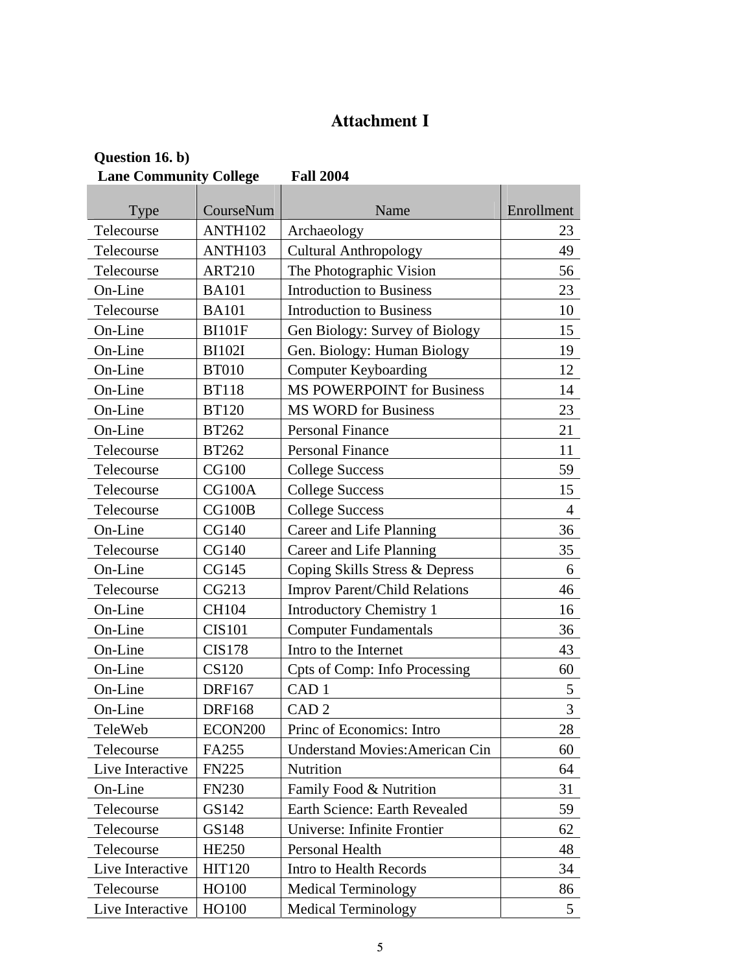# **Attachment I**

| Question 16. b)                                   |                     |                                        |                |  |  |  |
|---------------------------------------------------|---------------------|----------------------------------------|----------------|--|--|--|
| <b>Lane Community College</b><br><b>Fall 2004</b> |                     |                                        |                |  |  |  |
|                                                   |                     |                                        |                |  |  |  |
| Type                                              | CourseNum           | Name                                   | Enrollment     |  |  |  |
| Telecourse                                        | ANTH102             | Archaeology                            | 23             |  |  |  |
| Telecourse                                        | ANTH103             | <b>Cultural Anthropology</b>           | 49             |  |  |  |
| Telecourse                                        | <b>ART210</b>       | The Photographic Vision                | 56             |  |  |  |
| On-Line                                           | <b>BA101</b>        | <b>Introduction to Business</b>        | 23             |  |  |  |
| Telecourse                                        | <b>BA101</b>        | <b>Introduction to Business</b>        | 10             |  |  |  |
| On-Line                                           | <b>BI101F</b>       | Gen Biology: Survey of Biology         | 15             |  |  |  |
| On-Line                                           | <b>BI102I</b>       | Gen. Biology: Human Biology            | 19             |  |  |  |
| On-Line                                           | <b>BT010</b>        | <b>Computer Keyboarding</b>            | 12             |  |  |  |
| On-Line                                           | <b>BT118</b>        | <b>MS POWERPOINT for Business</b>      | 14             |  |  |  |
| On-Line                                           | <b>BT120</b>        | <b>MS WORD for Business</b>            | 23             |  |  |  |
| On-Line                                           | <b>BT262</b>        | <b>Personal Finance</b>                | 21             |  |  |  |
| Telecourse                                        | <b>BT262</b>        | <b>Personal Finance</b>                | 11             |  |  |  |
| Telecourse                                        | <b>CG100</b>        | <b>College Success</b>                 | 59             |  |  |  |
| Telecourse                                        | CG100A              | <b>College Success</b>                 | 15             |  |  |  |
| Telecourse                                        | CG100B              | <b>College Success</b>                 | $\overline{4}$ |  |  |  |
| On-Line                                           | <b>CG140</b>        | Career and Life Planning               | 36             |  |  |  |
| Telecourse                                        | <b>CG140</b>        | Career and Life Planning               | 35             |  |  |  |
| On-Line                                           | CG145               | Coping Skills Stress & Depress         | 6              |  |  |  |
| Telecourse                                        | CG213               | <b>Improv Parent/Child Relations</b>   | 46             |  |  |  |
| On-Line                                           | <b>CH104</b>        | <b>Introductory Chemistry 1</b>        | 16             |  |  |  |
| On-Line                                           | <b>CIS101</b>       | <b>Computer Fundamentals</b>           | 36             |  |  |  |
| On-Line                                           | <b>CIS178</b>       | Intro to the Internet                  | 43             |  |  |  |
| On-Line                                           | <b>CS120</b>        | <b>Cpts of Comp: Info Processing</b>   | 60             |  |  |  |
| On-Line                                           | <b>DRF167</b>       | CAD <sub>1</sub>                       | 5              |  |  |  |
| On-Line                                           | <b>DRF168</b>       | CAD <sub>2</sub>                       | 3              |  |  |  |
| TeleWeb                                           | ECON <sub>200</sub> | Princ of Economics: Intro              | 28             |  |  |  |
| Telecourse                                        | FA255               | <b>Understand Movies: American Cin</b> | 60             |  |  |  |
| Live Interactive                                  | <b>FN225</b>        | Nutrition                              | 64             |  |  |  |
| On-Line                                           | <b>FN230</b>        | Family Food & Nutrition                | 31             |  |  |  |
| Telecourse                                        | GS142               | Earth Science: Earth Revealed          | 59             |  |  |  |
| Telecourse                                        | GS148               | Universe: Infinite Frontier            | 62             |  |  |  |
| Telecourse                                        | <b>HE250</b>        | Personal Health                        | 48             |  |  |  |
| Live Interactive                                  | <b>HIT120</b>       | Intro to Health Records                | 34             |  |  |  |
| Telecourse                                        | HO100               | <b>Medical Terminology</b>             | 86             |  |  |  |
| Live Interactive                                  | HO100               | <b>Medical Terminology</b>             | 5              |  |  |  |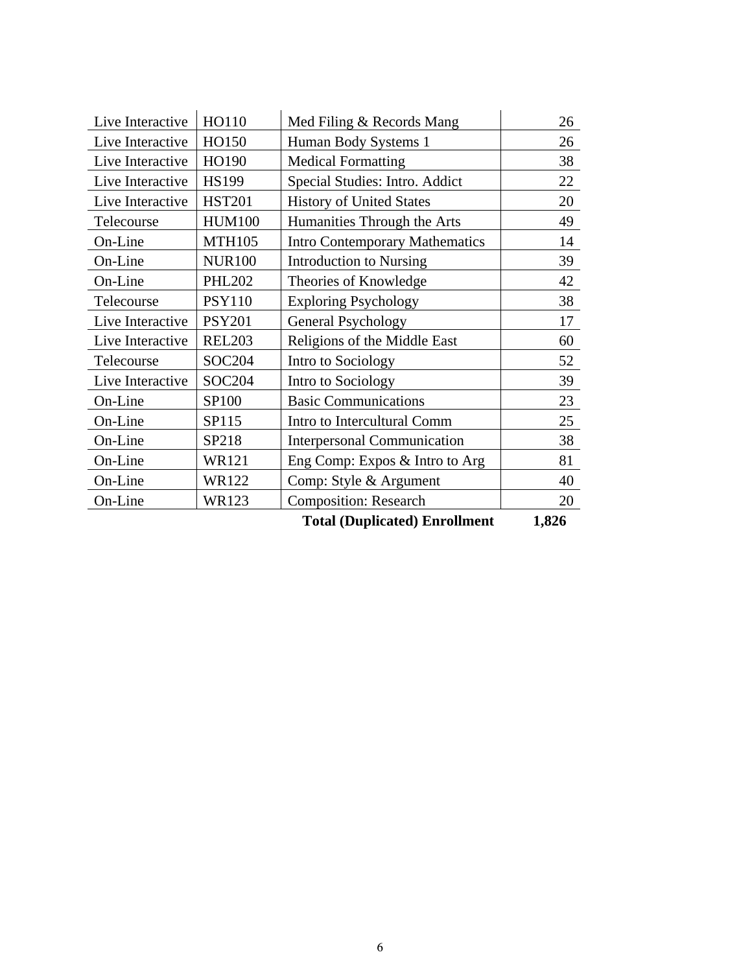| Live Interactive | HO110         | Med Filing & Records Mang             | 26    |
|------------------|---------------|---------------------------------------|-------|
| Live Interactive | HO150         | Human Body Systems 1                  | 26    |
| Live Interactive | HO190         | <b>Medical Formatting</b>             | 38    |
| Live Interactive | <b>HS199</b>  | Special Studies: Intro. Addict        | 22    |
| Live Interactive | <b>HST201</b> | <b>History of United States</b>       | 20    |
| Telecourse       | <b>HUM100</b> | Humanities Through the Arts           | 49    |
| On-Line          | <b>MTH105</b> | <b>Intro Contemporary Mathematics</b> | 14    |
| On-Line          | <b>NUR100</b> | <b>Introduction to Nursing</b>        | 39    |
| On-Line          | <b>PHL202</b> | Theories of Knowledge                 | 42    |
| Telecourse       | <b>PSY110</b> | <b>Exploring Psychology</b>           | 38    |
| Live Interactive | <b>PSY201</b> | <b>General Psychology</b>             | 17    |
| Live Interactive | <b>REL203</b> | Religions of the Middle East          | 60    |
| Telecourse       | <b>SOC204</b> | Intro to Sociology                    | 52    |
| Live Interactive | <b>SOC204</b> | Intro to Sociology                    | 39    |
| On-Line          | SP100         | <b>Basic Communications</b>           | 23    |
| On-Line          | SP115         | Intro to Intercultural Comm           | 25    |
| On-Line          | SP218         | <b>Interpersonal Communication</b>    | 38    |
| On-Line          | WR121         | Eng Comp: Expos & Intro to Arg        | 81    |
| On-Line          | <b>WR122</b>  | Comp: Style & Argument                | 40    |
| On-Line          | <b>WR123</b>  | <b>Composition: Research</b>          | 20    |
|                  |               | <b>Total (Duplicated) Enrollment</b>  | 1,826 |